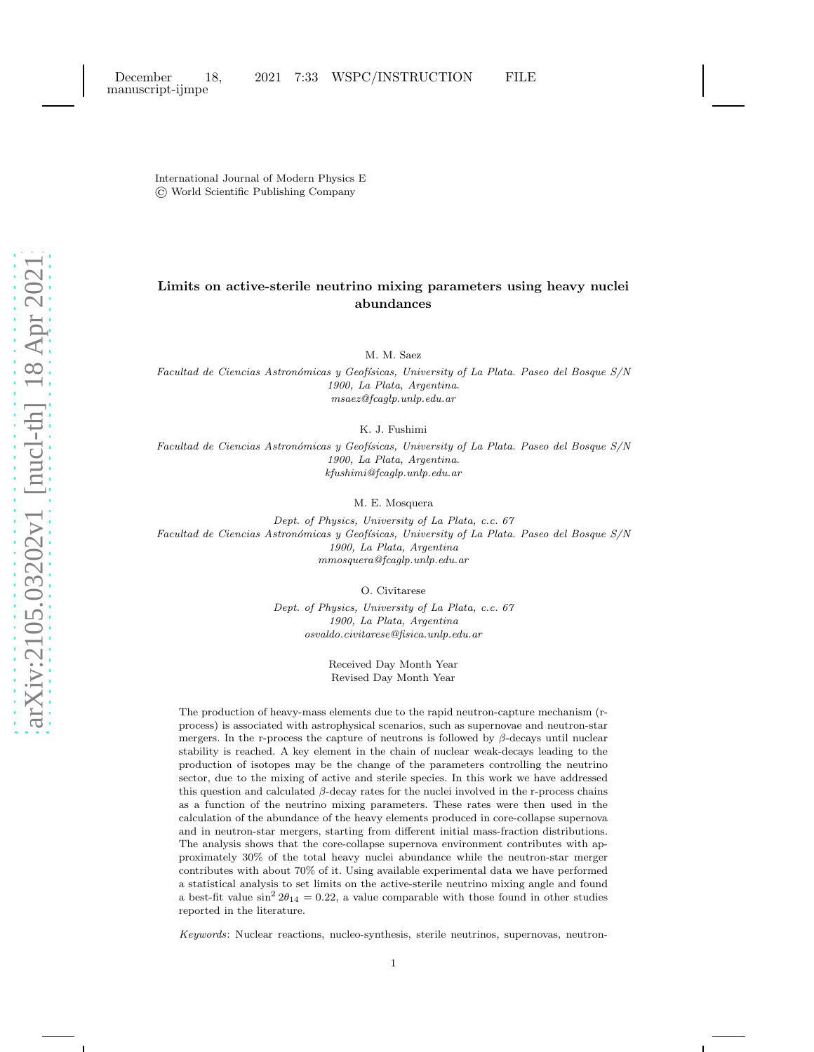International Journal of Modern Physics E © World Scientific Publishing Company

# Limits on active-sterile neutrino mixing parameters using heavy nuclei abundances

M. M. Saez

Facultad de Ciencias Astronómicas y Geofísicas, University of La Plata. Paseo del Bosque S/N 1900, La Plata, Argentina. msaez@fcaglp.unlp.edu.ar

K. J. Fushimi

Facultad de Ciencias Astronómicas y Geofísicas, University of La Plata. Paseo del Bosque S/N 1900, La Plata, Argentina. kfushimi@fcaglp.unlp.edu.ar

M. E. Mosquera

Dept. of Physics, University of La Plata, c.c. 67 Facultad de Ciencias Astronómicas y Geofísicas, University of La Plata. Paseo del Bosque S/N 1900, La Plata, Argentina mmosquera@fcaglp.unlp.edu.ar

O. Civitarese

Dept. of Physics, University of La Plata, c.c. 67 1900, La Plata, Argentina osvaldo.civitarese@fisica.unlp.edu.ar

> Received Day Month Year Revised Day Month Year

The production of heavy-mass elements due to the rapid neutron-capture mechanism (rprocess) is associated with astrophysical scenarios, such as supernovae and neutron-star mergers. In the r-process the capture of neutrons is followed by  $\beta$ -decays until nuclear stability is reached. A key element in the chain of nuclear weak-decays leading to the production of isotopes may be the change of the parameters controlling the neutrino sector, due to the mixing of active and sterile species. In this work we have addressed this question and calculated  $\beta$ -decay rates for the nuclei involved in the r-process chains as a function of the neutrino mixing parameters. These rates were then used in the calculation of the abundance of the heavy elements produced in core-collapse supernova and in neutron-star mergers, starting from different initial mass-fraction distributions. The analysis shows that the core-collapse supernova environment contributes with approximately 30% of the total heavy nuclei abundance while the neutron-star merger contributes with about 70% of it. Using available experimental data we have performed a statistical analysis to set limits on the active-sterile neutrino mixing angle and found a best-fit value  $\sin^2 2\theta_{14} = 0.22$ , a value comparable with those found in other studies reported in the literature.

Keywords: Nuclear reactions, nucleo-synthesis, sterile neutrinos, supernovas, neutron-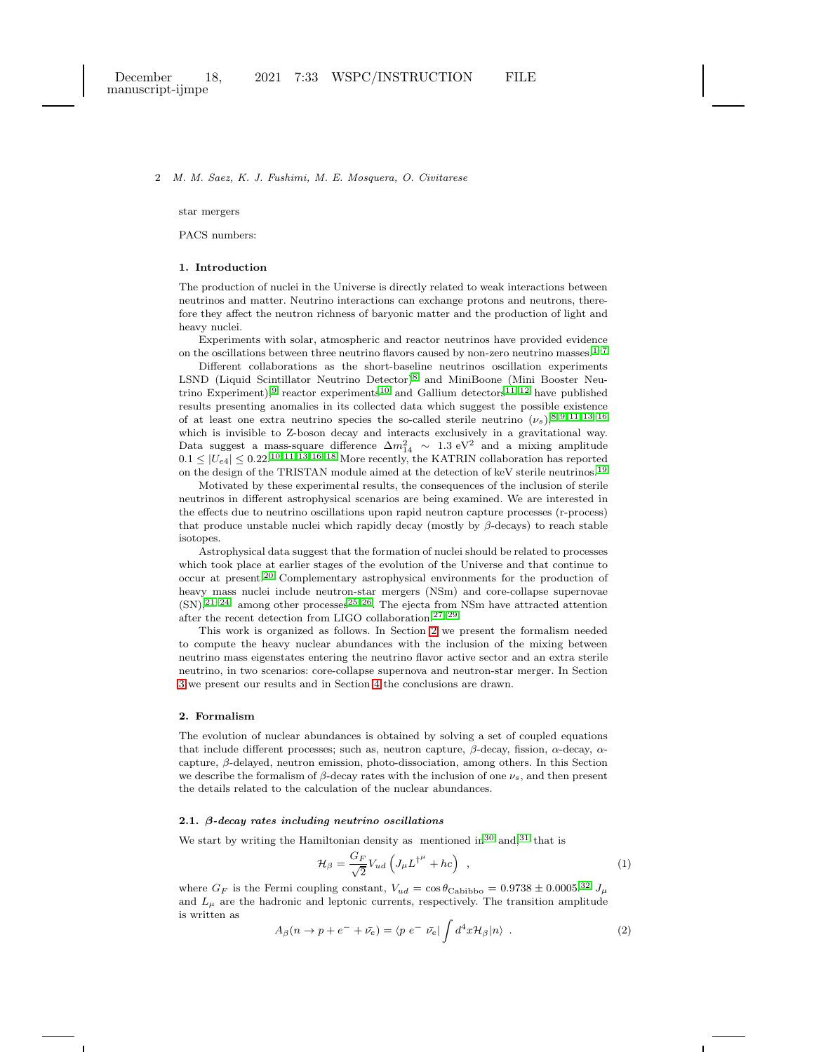star mergers

PACS numbers:

# 1. Introduction

The production of nuclei in the Universe is directly related to weak interactions between neutrinos and matter. Neutrino interactions can exchange protons and neutrons, therefore they affect the neutron richness of baryonic matter and the production of light and heavy nuclei.

Experiments with solar, atmospheric and reactor neutrinos have provided evidence on the oscillations between three neutrino flavors caused by non-zero neutrino masses. $1-7$  $1-7$ 

Different collaborations as the short-baseline neutrinos oscillation experiments LSND (Liquid Scintillator Neutrino Detector)[8](#page-11-2) and MiniBoone (Mini Booster Neu-trino Experiment),<sup>[9](#page-11-3)</sup> reactor experiments<sup>[10](#page-11-4)</sup> and Gallium detectors<sup>[11,](#page-11-5) [12](#page-11-6)</sup> have published results presenting anomalies in its collected data which suggest the possible existence of at least one extra neutrino species the so-called sterile neutrino  $(\nu_s)^{8,9,11,13-16}$  $(\nu_s)^{8,9,11,13-16}$  $(\nu_s)^{8,9,11,13-16}$  $(\nu_s)^{8,9,11,13-16}$  $(\nu_s)^{8,9,11,13-16}$ which is invisible to Z-boson decay and interacts exclusively in a gravitational way. Data suggest a mass-square difference  $\Delta m_{14}^2 \sim 1.3 \text{ eV}^2$  and a mixing amplitude  $0.1 \leq |U_{e4}| \leq 0.22$ .<sup>[10,](#page-11-4) [11,](#page-11-5) [13,](#page-11-7) [16–](#page-11-8)[18](#page-11-9)</sup> More recently, the KATRIN collaboration has reported on the design of the TRISTAN module aimed at the detection of keV sterile neutrinos.<sup>[19](#page-11-10)</sup>

Motivated by these experimental results, the consequences of the inclusion of sterile neutrinos in different astrophysical scenarios are being examined. We are interested in the effects due to neutrino oscillations upon rapid neutron capture processes (r-process) that produce unstable nuclei which rapidly decay (mostly by  $\beta$ -decays) to reach stable isotopes.

Astrophysical data suggest that the formation of nuclei should be related to processes which took place at earlier stages of the evolution of the Universe and that continue to occur at present.[20](#page-11-11) Complementary astrophysical environments for the production of heavy mass nuclei include neutron-star mergers (NSm) and core-collapse supernovae  $(SN),^{21-24}$  $(SN),^{21-24}$  $(SN),^{21-24}$  among other processes<sup>[25,](#page-11-14) [26](#page-11-15)</sup>. The ejecta from NSm have attracted attention after the recent detection from LIGO collaboration.[27](#page-12-0)[–29](#page-12-1)

This work is organized as follows. In Section [2](#page-1-0) we present the formalism needed to compute the heavy nuclear abundances with the inclusion of the mixing between neutrino mass eigenstates entering the neutrino flavor active sector and an extra sterile neutrino, in two scenarios: core-collapse supernova and neutron-star merger. In Section [3](#page-3-0) we present our results and in Section [4](#page-9-0) the conclusions are drawn.

# <span id="page-1-0"></span>2. Formalism

The evolution of nuclear abundances is obtained by solving a set of coupled equations that include different processes; such as, neutron capture, β-decay, fission,  $\alpha$ -decay,  $\alpha$ capture,  $\beta$ -delayed, neutron emission, photo-dissociation, among others. In this Section we describe the formalism of  $\beta$ -decay rates with the inclusion of one  $\nu_s$ , and then present the details related to the calculation of the nuclear abundances.

### 2.1. β-decay rates including neutrino oscillations

We start by writing the Hamiltonian density as mentioned in <sup>[30](#page-12-2)</sup> and, <sup>[31](#page-12-3)</sup> that is

<span id="page-1-1"></span>
$$
\mathcal{H}_{\beta} = \frac{G_F}{\sqrt{2}} V_{ud} \left( J_{\mu} L^{\dagger^{\mu}} + hc \right) , \qquad (1)
$$

where  $G_F$  is the Fermi coupling constant,  $V_{ud} = \cos \theta_{\text{Cabiibo}} = 0.9738 \pm 0.0005$ .<sup>[32](#page-12-4)</sup>  $J_\mu$ and  $L<sub>\mu</sub>$  are the hadronic and leptonic currents, respectively. The transition amplitude is written as

$$
A_{\beta}(n \to p + e^{-} + \bar{\nu_e}) = \langle p \ e^{-} \ \bar{\nu_e} | \int d^4x \mathcal{H}_{\beta} |n \rangle . \tag{2}
$$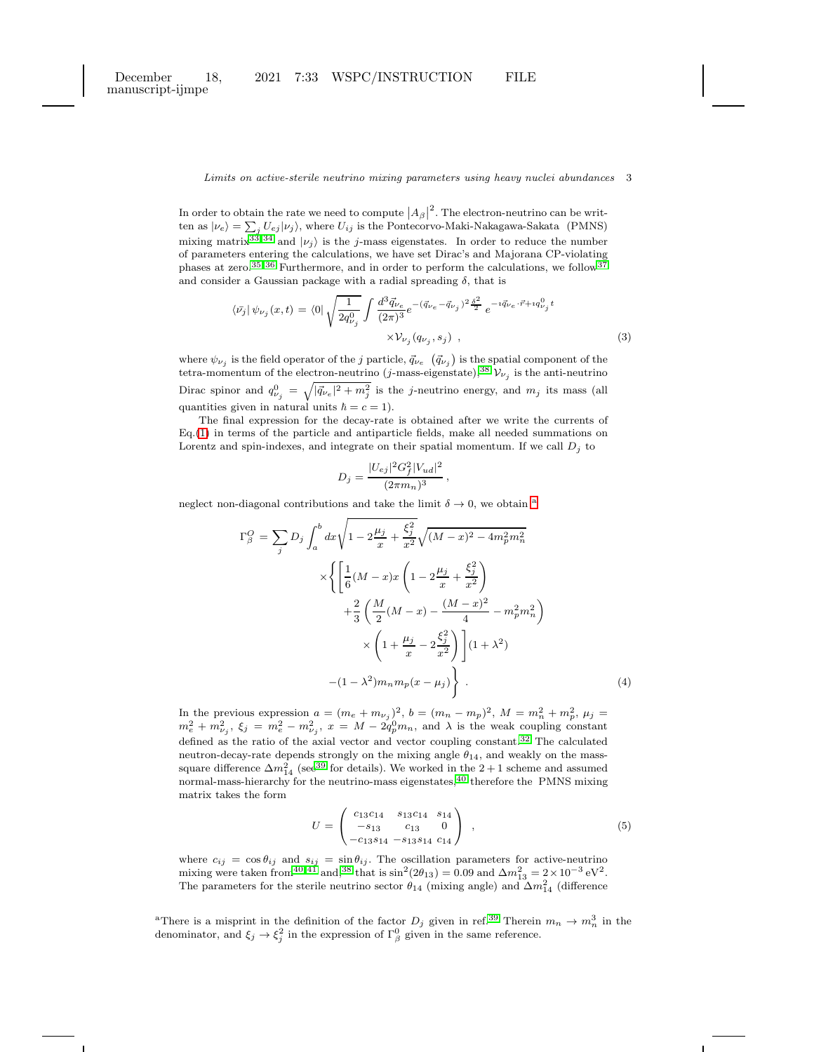In order to obtain the rate we need to compute  $\left|A_{\beta}\right|^2$ . The electron-neutrino can be written as  $|\nu_e\rangle = \sum_j U_{ej} |\nu_j\rangle$ , where  $U_{ij}$  is the Pontecorvo-Maki-Nakagawa-Sakata (PMNS) mixing matrix<sup>[33,](#page-12-5) [34](#page-12-6)</sup> and  $|\nu_j\rangle$  is the j-mass eigenstates. In order to reduce the number of parameters entering the calculations, we have set Dirac's and Majorana CP-violating phases at zero.<sup>[35,](#page-12-7) [36](#page-12-8)</sup> Furthermore, and in order to perform the calculations, we follow<sup>[37](#page-12-9)</sup> and consider a Gaussian package with a radial spreading  $\delta,$  that is

$$
\langle \bar{\nu_j} | \psi_{\nu_j}(x, t) = \langle 0 | \sqrt{\frac{1}{2q_{\nu_j}^0}} \int \frac{d^3 \vec{q}_{\nu_e}}{(2\pi)^3} e^{-(\vec{q}_{\nu_e} - \vec{q}_{\nu_j})^2 \frac{\delta^2}{2}} e^{-i\vec{q}_{\nu_e} \cdot \vec{r} + iq_{\nu_j}^0 t} \times \mathcal{V}_{\nu_j}(q_{\nu_j}, s_j) ,
$$
\n(3)

where  $\psi_{\nu_j}$  is the field operator of the j particle,  $\vec{q}_{\nu_e}$   $(\vec{q}_{\nu_j})$  is the spatial component of the tetra-momentum of the electron-neutrino (*j*-mass-eigenstate),<sup>[38](#page-12-10)</sup>  $\mathcal{V}_{\nu_j}$  is the anti-neutrino Dirac spinor and  $q_{\nu_j}^0 = \sqrt{|\vec{q}_{\nu_e}|^2 + m_j^2}$  is the j-neutrino energy, and  $m_j$  its mass (all quantities given in natural units  $\hbar = c = 1$ .

The final expression for the decay-rate is obtained after we write the currents of Eq.[\(1\)](#page-1-1) in terms of the particle and antiparticle fields, make all needed summations on Lorentz and spin-indexes, and integrate on their spatial momentum. If we call  $D_i$  to

$$
D_j = \frac{|U_{ej}|^2 G_f^2 |V_{ud}|^2}{(2\pi m_n)^3} \,,
$$

neglect non-di[a](#page-2-0)gonal contributions and take the limit  $\delta \to 0$ , we obtain <sup>a</sup>

<span id="page-2-1"></span>
$$
\Gamma_{\beta}^{O} = \sum_{j} D_{j} \int_{a}^{b} dx \sqrt{1 - 2\frac{\mu_{j}}{x} + \frac{\xi_{j}^{2}}{x^{2}}} \sqrt{(M - x)^{2} - 4m_{p}^{2}m_{n}^{2}}
$$

$$
\times \left\{ \left[ \frac{1}{6}(M - x)x \left( 1 - 2\frac{\mu_{j}}{x} + \frac{\xi_{j}^{2}}{x^{2}} \right) + \frac{2}{3} \left( \frac{M}{2}(M - x) - \frac{(M - x)^{2}}{4} - m_{p}^{2}m_{n}^{2} \right) \right. \times \left. \left( 1 + \frac{\mu_{j}}{x} - 2\frac{\xi_{j}^{2}}{x^{2}} \right) \right] (1 + \lambda^{2})
$$

$$
- (1 - \lambda^{2})m_{n}m_{p}(x - \mu_{j}) \right\} \ . \tag{4}
$$

In the previous expression  $a = (m_e + m_{\nu_j})^2$ ,  $b = (m_n - m_p)^2$ ,  $M = m_n^2 + m_p^2$ ,  $\mu_j =$  $m_e^2 + m_{\nu_j}^2$ ,  $\xi_j = m_e^2 - m_{\nu_j}^2$ ,  $x = M - 2q_p^0 m_n$ , and  $\lambda$  is the weak coupling constant defined as the ratio of the axial vector and vector coupling constant.<sup>[32](#page-12-4)</sup> The calculated neutron-decay-rate depends strongly on the mixing angle  $\theta_{14}$ , and weakly on the masssquare difference  $\Delta m_{14}^2$  (see<sup>[39](#page-12-11)</sup> for details). We worked in the 2 + 1 scheme and assumed normal-mass-hierarchy for the neutrino-mass eigenstates, [40](#page-12-12) therefore the PMNS mixing matrix takes the form

<span id="page-2-2"></span>
$$
U = \begin{pmatrix} c_{13}c_{14} & s_{13}c_{14} & s_{14} \\ -s_{13} & c_{13} & 0 \\ -c_{13}s_{14} & -s_{13}s_{14} & c_{14} \end{pmatrix} , \qquad (5)
$$

where  $c_{ij} = \cos \theta_{ij}$  and  $s_{ij} = \sin \theta_{ij}$ . The oscillation parameters for active-neutrino mixing were taken from<sup>[40,](#page-12-12)41</sup> and,<sup>[38](#page-12-10)</sup> that is  $\sin^2(2\theta_{13}) = 0.09$  and  $\Delta m_{13}^2 = 2 \times 10^{-3} \text{ eV}^2$ . The parameters for the sterile neutrino sector  $\theta_{14}$  (mixing angle) and  $\Delta m_{14}^2$  (difference

<span id="page-2-0"></span><sup>a</sup>There is a misprint in the definition of the factor  $D_j$  given in ref.<sup>[39](#page-12-11)</sup> Therein  $m_n \to m_n^3$  in the denominator, and  $\xi_j \to \xi_j^2$  in the expression of  $\Gamma_\beta^0$  given in the same reference.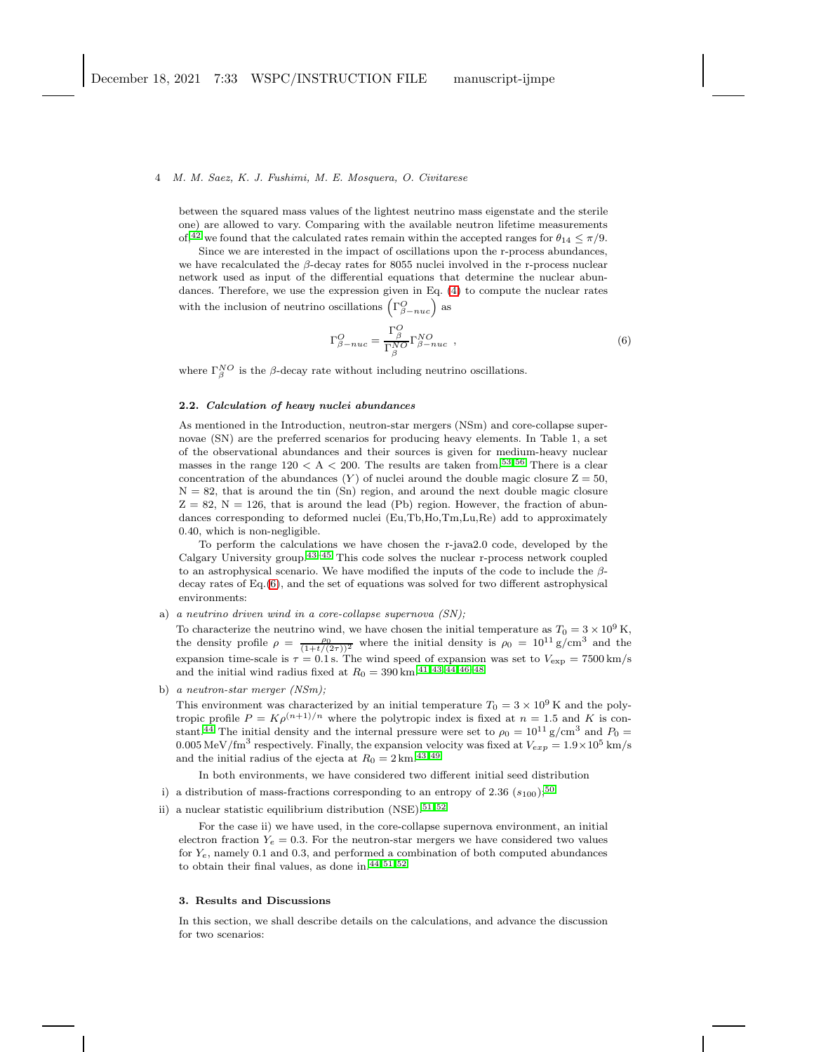between the squared mass values of the lightest neutrino mass eigenstate and the sterile one) are allowed to vary. Comparing with the available neutron lifetime measurements of,<sup>[42](#page-12-14)</sup> we found that the calculated rates remain within the accepted ranges for  $\theta_{14} \leq \pi/9$ .

Since we are interested in the impact of oscillations upon the r-process abundances, we have recalculated the  $\beta$ -decay rates for 8055 nuclei involved in the r-process nuclear network used as input of the differential equations that determine the nuclear abundances. Therefore, we use the expression given in Eq. [\(4\)](#page-2-1) to compute the nuclear rates with the inclusion of neutrino oscillations  $(\Gamma^O_{\beta-nuc})$  as

<span id="page-3-1"></span>
$$
\Gamma_{\beta-nuc}^O = \frac{\Gamma_{\beta}^O}{\Gamma_{\beta}^{NO}} \Gamma_{\beta-nuc}^{NO} \quad , \tag{6}
$$

where  $\Gamma_{\beta}^{NO}$  is the  $\beta$ -decay rate without including neutrino oscillations.

### 2.2. Calculation of heavy nuclei abundances

As mentioned in the Introduction, neutron-star mergers (NSm) and core-collapse supernovae (SN) are the preferred scenarios for producing heavy elements. In Table 1, a set of the observational abundances and their sources is given for medium-heavy nuclear masses in the range  $120 < A < 200$ . The results are taken from.<sup>[53,](#page-12-15)56</sup> There is a clear concentration of the abundances  $(Y)$  of nuclei around the double magic closure  $Z = 50$ ,  $N = 82$ , that is around the tin  $(Sn)$  region, and around the next double magic closure  $Z = 82$ ,  $N = 126$ , that is around the lead (Pb) region. However, the fraction of abundances corresponding to deformed nuclei (Eu,Tb,Ho,Tm,Lu,Re) add to approximately 0.40, which is non-negligible.

To perform the calculations we have chosen the r-java2.0 code, developed by the Calgary University group.<sup>[43](#page-12-17)[–45](#page-12-18)</sup> This code solves the nuclear r-process network coupled to an astrophysical scenario. We have modified the inputs of the code to include the βdecay rates of Eq.[\(6\)](#page-3-1), and the set of equations was solved for two different astrophysical environments:

a) a neutrino driven wind in a core-collapse supernova (SN);

To characterize the neutrino wind, we have chosen the initial temperature as  $T_0 = 3 \times 10^9$  K, the density profile  $\rho = \frac{\rho_0}{(1+t/(2\tau))^2}$  where the initial density is  $\rho_0 = 10^{11} \text{ g/cm}^3$  and the expansion time-scale is  $\tau = 0.1$  s. The wind speed of expansion was set to  $V_{\text{exp}} = 7500 \text{ km/s}$ and the initial wind radius fixed at  $R_0 = 390 \, \mathrm{km}.^{41, \, 43, \, \bar{44}, \, 46-48}$  $R_0 = 390 \, \mathrm{km}.^{41, \, 43, \, \bar{44}, \, 46-48}$  $R_0 = 390 \, \mathrm{km}.^{41, \, 43, \, \bar{44}, \, 46-48}$  $R_0 = 390 \, \mathrm{km}.^{41, \, 43, \, \bar{44}, \, 46-48}$  $R_0 = 390 \, \mathrm{km}.^{41, \, 43, \, \bar{44}, \, 46-48}$  $R_0 = 390 \, \mathrm{km}.^{41, \, 43, \, \bar{44}, \, 46-48}$  $R_0 = 390 \, \mathrm{km}.^{41, \, 43, \, \bar{44}, \, 46-48}$ 

b) a neutron-star merger (NSm);

This environment was characterized by an initial temperature  $T_0 = 3 \times 10^9$  K and the polytropic profile  $P = K \rho^{(n+1)/n}$  where the polytropic index is fixed at  $n = 1.5$  and K is con-stant.<sup>[44](#page-12-19)</sup> The initial density and the internal pressure were set to  $\rho_0 = 10^{11} \text{ g/cm}^3$  and  $P_0 =$ 0.005 MeV/fm<sup>3</sup> respectively. Finally, the expansion velocity was fixed at  $V_{exp} = 1.9 \times 10^5$  km/s and the initial radius of the ejecta at  $R_0 = 2 \text{ km}^{43,49}$  $R_0 = 2 \text{ km}^{43,49}$  $R_0 = 2 \text{ km}^{43,49}$ 

In both environments, we have considered two different initial seed distribution

- i) a distribution of mass-fractions corresponding to an entropy of 2.36  $(s_{100})$ ;<sup>[50](#page-12-23)</sup>
- ii) a nuclear statistic equilibrium distribution (NSE).<sup>[51,](#page-12-24)52</sup>

For the case ii) we have used, in the core-collapse supernova environment, an initial electron fraction  $Y_e = 0.3$ . For the neutron-star mergers we have considered two values for  $Y_e$ , namely 0.1 and 0.3, and performed a combination of both computed abundances to obtain their final values, as done in.[44,](#page-12-19) [51,](#page-12-24) [52](#page-12-25)

### <span id="page-3-0"></span>3. Results and Discussions

In this section, we shall describe details on the calculations, and advance the discussion for two scenarios: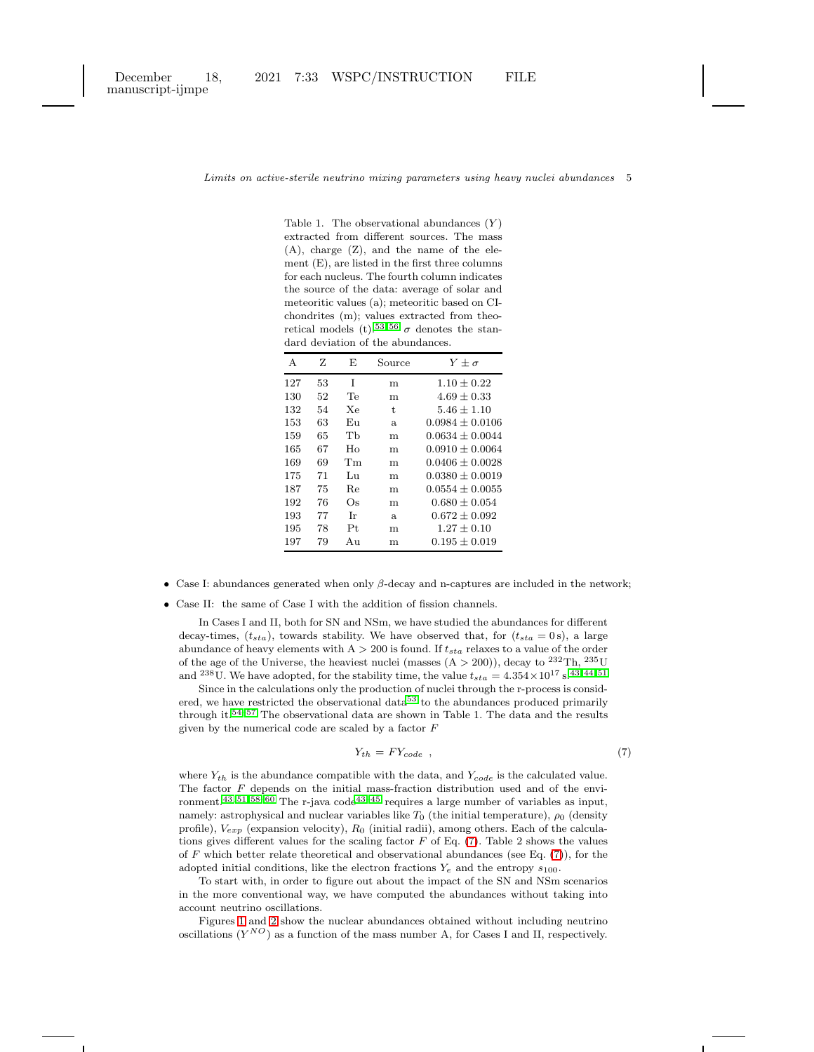manuscript-ijmpe

### Limits on active-sterile neutrino mixing parameters using heavy nuclei abundances 5

Table 1. The observational abundances  $(Y)$ extracted from different sources. The mass (A), charge (Z), and the name of the element (E), are listed in the first three columns for each nucleus. The fourth column indicates the source of the data: average of solar and meteoritic values (a); meteoritic based on CIchondrites (m); values extracted from theo-retical models (t).<sup>[53,](#page-12-15)56</sup>  $\sigma$  denotes the standard deviation of the abundances.

| A   | z  | E  | Source | $Y + \sigma$      |
|-----|----|----|--------|-------------------|
| 127 | 53 | T  | m      | $1.10 + 0.22$     |
| 130 | 52 | Te | m      | $4.69 \pm 0.33$   |
| 132 | 54 | Xе | t.     | $5.46 + 1.10$     |
| 153 | 63 | Eп | a.     | $0.0984 + 0.0106$ |
| 159 | 65 | Тh | m      | $0.0634 + 0.0044$ |
| 165 | 67 | Ho | m      | $0.0910 + 0.0064$ |
| 169 | 69 | Тm | m      | $0.0406 + 0.0028$ |
| 175 | 71 | Lп | m      | $0.0380 + 0.0019$ |
| 187 | 75 | Re | m      | $0.0554 + 0.0055$ |
| 192 | 76 | Оs | m      | $0.680 + 0.054$   |
| 193 | 77 | Тr | a.     | $0.672 + 0.092$   |
| 195 | 78 | Pt | m      | $1.27 + 0.10$     |
| 197 | 79 | Aп | m      | $0.195 + 0.019$   |

• Case I: abundances generated when only  $\beta$ -decay and n-captures are included in the network;

• Case II: the same of Case I with the addition of fission channels.

In Cases I and II, both for SN and NSm, we have studied the abundances for different decay-times,  $(t_{sta})$ , towards stability. We have observed that, for  $(t_{sta} = 0 \text{ s})$ , a large abundance of heavy elements with  $A > 200$  is found. If  $t_{sta}$  relaxes to a value of the order of the age of the Universe, the heaviest nuclei (masses  $(A > 200)$ ), decay to  $^{232}Th$ ,  $^{235}U$ and  $^{238}$ U. We have adopted, for the stability time, the value  $t_{sta} = 4.354 \times 10^{17}$  s.<sup>[43,](#page-12-17) [44,](#page-12-19) [51](#page-12-24)</sup>

Since in the calculations only the production of nuclei through the r-process is consid-ered, we have restricted the observational data<sup>[53](#page-12-15)</sup> to the abundances produced primarily through it.<sup>[54](#page-12-26)[–57](#page-12-27)</sup> The observational data are shown in Table 1. The data and the results given by the numerical code are scaled by a factor  $F$ 

<span id="page-4-0"></span>
$$
Y_{th} = FY_{code} \t\t(7)
$$

where  $Y_{th}$  is the abundance compatible with the data, and  $Y_{code}$  is the calculated value. The factor  $F$  depends on the initial mass-fraction distribution used and of the envi-ronment.<sup>[43,](#page-12-17) [51,](#page-12-24) [58](#page-12-28)[–60](#page-13-0)</sup> The r-java code<sup>[43](#page-12-17)[–45](#page-12-18)</sup> requires a large number of variables as input, namely: astrophysical and nuclear variables like  $T_0$  (the initial temperature),  $\rho_0$  (density profile),  $V_{exp}$  (expansion velocity),  $R_0$  (initial radii), among others. Each of the calculations gives different values for the scaling factor  $F$  of Eq. [\(7\)](#page-4-0). Table 2 shows the values of  $F$  which better relate theoretical and observational abundances (see Eq.  $(7)$ ), for the adopted initial conditions, like the electron fractions  $Y_e$  and the entropy  $s_{100}$ .

To start with, in order to figure out about the impact of the SN and NSm scenarios in the more conventional way, we have computed the abundances without taking into account neutrino oscillations.

Figures [1](#page-6-0) and [2](#page-7-0) show the nuclear abundances obtained without including neutrino oscillations  $(Y^{NO})$  as a function of the mass number A, for Cases I and II, respectively.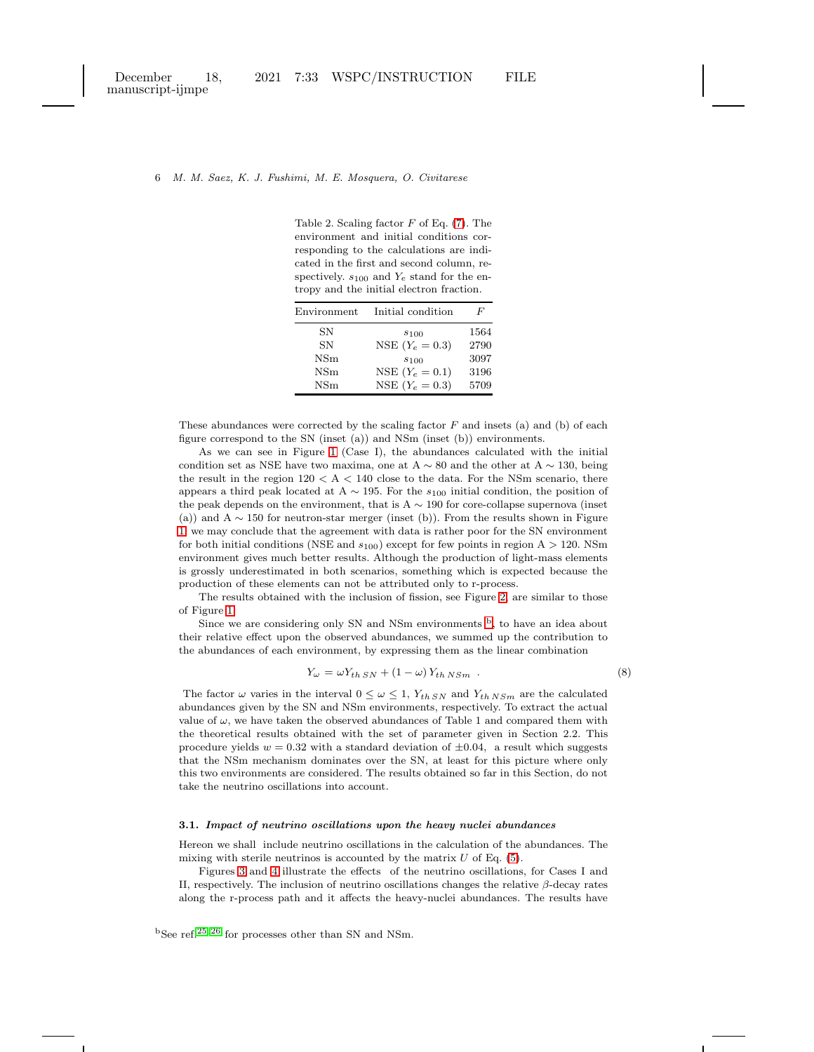Table 2. Scaling factor  $F$  of Eq. [\(7\)](#page-4-0). The environment and initial conditions corresponding to the calculations are indicated in the first and second column, respectively.  $s_{100}$  and  $Y_e$  stand for the entropy and the initial electron fraction.

| Environment  | Initial condition | F    |
|--------------|-------------------|------|
| SN           | $s_{100}$         | 1564 |
| SN           | NSE $(Y_e = 0.3)$ | 2790 |
| $_{\rm NSm}$ | $s_{100}$         | 3097 |
| $_{\rm NSm}$ | NSE $(Y_e = 0.1)$ | 3196 |
| $_{\rm NSm}$ | NSE $(Y_e = 0.3)$ | 5709 |

These abundances were corrected by the scaling factor  $F$  and insets (a) and (b) of each figure correspond to the SN (inset (a)) and NSm (inset (b)) environments.

As we can see in Figure [1](#page-6-0) (Case I), the abundances calculated with the initial condition set as NSE have two maxima, one at A  $\sim$  80 and the other at A  $\sim$  130, being the result in the region  $120 < A < 140$  close to the data. For the NSm scenario, there appears a third peak located at A  $\sim$  195. For the  $s_{100}$  initial condition, the position of the peak depends on the environment, that is  $A \sim 190$  for core-collapse supernova (inset (a)) and  $A \sim 150$  for neutron-star merger (inset (b)). From the results shown in Figure [1,](#page-6-0) we may conclude that the agreement with data is rather poor for the SN environment for both initial conditions (NSE and  $s_{100}$ ) except for few points in region A > 120. NSm environment gives much better results. Although the production of light-mass elements is grossly underestimated in both scenarios, something which is expected because the production of these elements can not be attributed only to r-process.

The results obtained with the inclusion of fission, see Figure [2,](#page-7-0) are similar to those of Figure [1.](#page-6-0)

Since we are considering only SN and NSm environments  $\overline{b}$  $\overline{b}$  $\overline{b}$ , to have an idea about their relative effect upon the observed abundances, we summed up the contribution to the abundances of each environment, by expressing them as the linear combination

$$
Y_{\omega} = \omega Y_{th\;SN} + (1 - \omega) Y_{th\;NSm} \tag{8}
$$

The factor  $\omega$  varies in the interval  $0 \leq \omega \leq 1$ ,  $Y_{th} S N$  and  $Y_{th} N S m$  are the calculated abundances given by the SN and NSm environments, respectively. To extract the actual value of  $\omega$ , we have taken the observed abundances of Table 1 and compared them with the theoretical results obtained with the set of parameter given in Section 2.2. This procedure yields  $w = 0.32$  with a standard deviation of  $\pm 0.04$ , a result which suggests that the NSm mechanism dominates over the SN, at least for this picture where only this two environments are considered. The results obtained so far in this Section, do not take the neutrino oscillations into account.

### 3.1. Impact of neutrino oscillations upon the heavy nuclei abundances

Hereon we shall include neutrino oscillations in the calculation of the abundances. The mixing with sterile neutrinos is accounted by the matrix  $U$  of Eq. [\(5\)](#page-2-2).

<span id="page-5-0"></span>Figures [3](#page-8-0) and [4](#page-9-1) illustrate the effects of the neutrino oscillations, for Cases I and II, respectively. The inclusion of neutrino oscillations changes the relative  $\beta$ -decay rates along the r-process path and it affects the heavy-nuclei abundances. The results have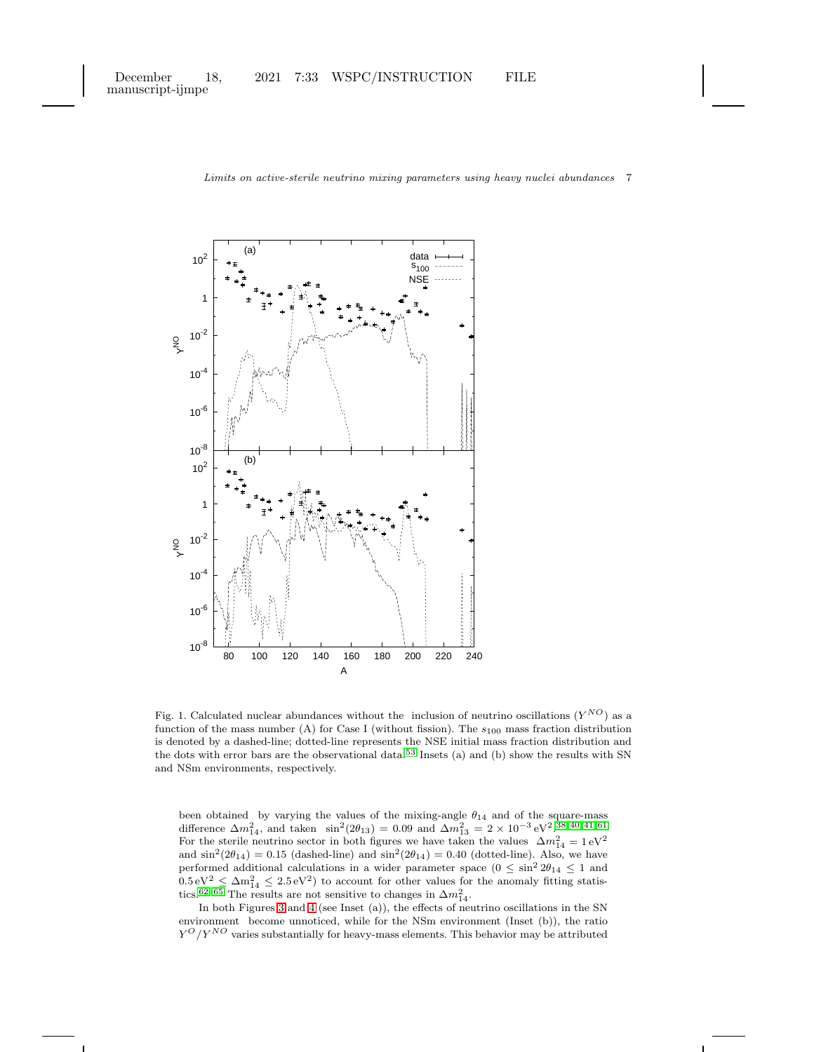manuscript-ijmpe



Limits on active-sterile neutrino mixing parameters using heavy nuclei abundances 7

<span id="page-6-0"></span>Fig. 1. Calculated nuclear abundances without the inclusion of neutrino oscillations  $(Y^{NO})$  as a function of the mass number (A) for Case I (without fission). The  $s_{100}$  mass fraction distribution is denoted by a dashed-line; dotted-line represents the NSE initial mass fraction distribution and the dots with error bars are the observational data.<sup>[53](#page-12-15)</sup> Insets (a) and (b) show the results with SN and NSm environments, respectively.

been obtained by varying the values of the mixing-angle  $\theta_{14}$  and of the square-mass difference  $\Delta m_{14}^2$ , and taken  $\sin^2(2\theta_{13}) = 0.09$  and  $\Delta m_{13}^2 = 2 \times 10^{-3} \text{ eV}^2$ . [38,](#page-12-10) [40,](#page-12-12) [41,](#page-12-13) [61](#page-13-1) For the sterile neutrino sector in both figures we have taken the values  $\Delta m_{14}^2 = 1 \text{ eV}^2$ and  $\sin^2(2\theta_{14}) = 0.15$  (dashed-line) and  $\sin^2(2\theta_{14}) = 0.40$  (dotted-line). Also, we have performed additional calculations in a wider parameter space  $(0 \le \sin^2 2\theta_{14} \le 1$  and  $0.5 \,\mathrm{eV^2} \leq \Delta m_{14}^2 \leq 2.5 \,\mathrm{eV^2}$  to account for other values for the anomaly fitting statis-tics.<sup>[62–](#page-13-2)[65](#page-13-3)</sup> The results are not sensitive to changes in  $\Delta m_{14}^2$ .

In both Figures [3](#page-8-0) and [4](#page-9-1) (see Inset (a)), the effects of neutrino oscillations in the SN environment become unnoticed, while for the NSm environment (Inset (b)), the ratio  $Y^{O}/Y^{NO}$  varies substantially for heavy-mass elements. This behavior may be attributed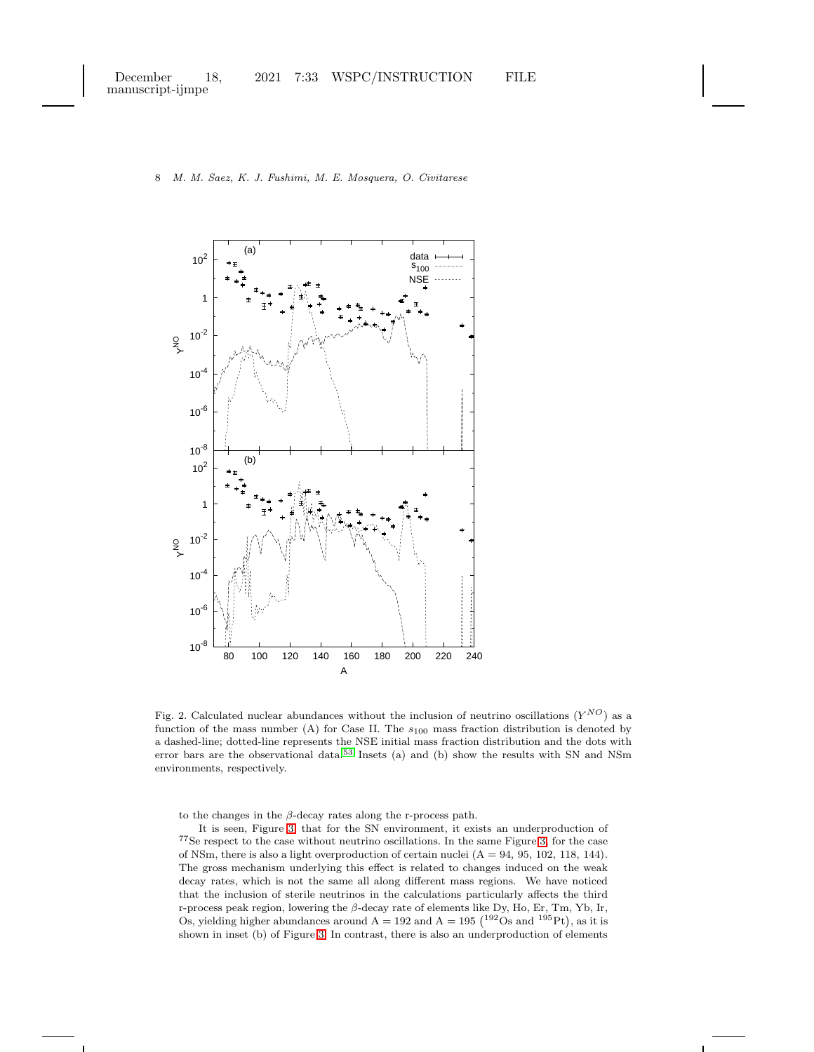

<span id="page-7-0"></span>Fig. 2. Calculated nuclear abundances without the inclusion of neutrino oscillations  $(Y^{NO})$  as a function of the mass number (A) for Case II. The  $s_{100}$  mass fraction distribution is denoted by a dashed-line; dotted-line represents the NSE initial mass fraction distribution and the dots with error bars are the observational data.[53](#page-12-15) Insets (a) and (b) show the results with SN and NSm environments, respectively.

to the changes in the  $\beta$ -decay rates along the r-process path.

It is seen, Figure [3,](#page-8-0) that for the SN environment, it exists an underproduction of <sup>77</sup>Se respect to the case without neutrino oscillations. In the same Figure [3,](#page-8-0) for the case of NSm, there is also a light overproduction of certain nuclei  $(A = 94, 95, 102, 118, 144)$ . The gross mechanism underlying this effect is related to changes induced on the weak decay rates, which is not the same all along different mass regions. We have noticed that the inclusion of sterile neutrinos in the calculations particularly affects the third r-process peak region, lowering the  $\beta$ -decay rate of elements like Dy, Ho, Er, Tm, Yb, Ir, Os, yielding higher abundances around  $A = 192$  and  $A = 195$  ( $192$ Os and  $195$ Pt), as it is shown in inset (b) of Figure [3.](#page-8-0) In contrast, there is also an underproduction of elements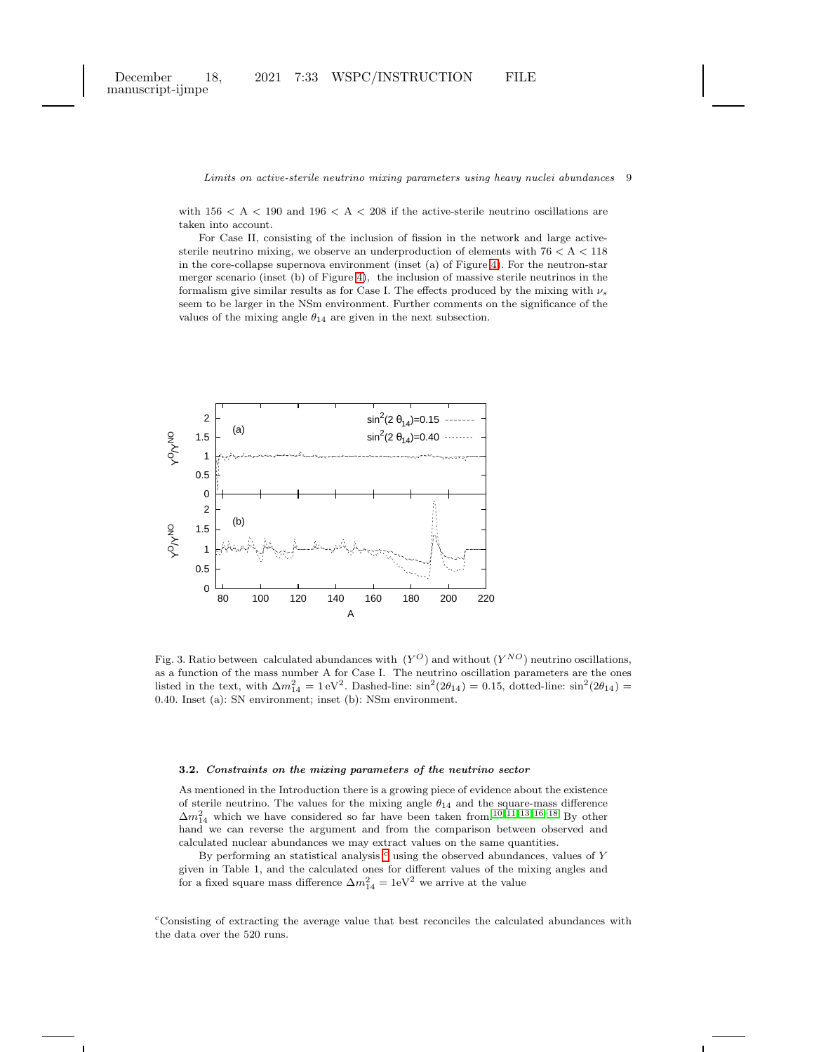with  $156 < A < 190$  and  $196 < A < 208$  if the active-sterile neutrino oscillations are taken into account.

For Case II, consisting of the inclusion of fission in the network and large activesterile neutrino mixing, we observe an underproduction of elements with  $76 < A < 118$ in the core-collapse supernova environment (inset (a) of Figure [4\)](#page-9-1). For the neutron-star merger scenario (inset (b) of Figure [4\)](#page-9-1), the inclusion of massive sterile neutrinos in the formalism give similar results as for Case I. The effects produced by the mixing with  $\nu_s$ seem to be larger in the NSm environment. Further comments on the significance of the values of the mixing angle  $\theta_{14}$  are given in the next subsection.



<span id="page-8-0"></span>Fig. 3. Ratio between calculated abundances with  $(Y^{O})$  and without  $(Y^{NO})$  neutrino oscillations, as a function of the mass number A for Case I. The neutrino oscillation parameters are the ones listed in the text, with  $\Delta m_{14}^2 = 1 \text{ eV}^2$ . Dashed-line:  $\sin^2(2\theta_{14}) = 0.15$ , dotted-line:  $\sin^2(2\theta_{14}) =$ 0.40. Inset (a): SN environment; inset (b): NSm environment.

### 3.2. Constraints on the mixing parameters of the neutrino sector

As mentioned in the Introduction there is a growing piece of evidence about the existence of sterile neutrino. The values for the mixing angle  $\theta_{14}$  and the square-mass difference  $\Delta m_{14}^2$  which we have considered so far have been taken from.<sup>[10,](#page-11-4) [11,](#page-11-5) [13,](#page-11-7) [16–](#page-11-8)[18](#page-11-9)</sup> By other hand we can reverse the argument and from the comparison between observed and calculated nuclear abundances we may extract values on the same quantities.

By performing an statisti[c](#page-8-1)al analysis  $\circ$  using the observed abundances, values of Y given in Table 1, and the calculated ones for different values of the mixing angles and for a fixed square mass difference  $\Delta m_{14}^2 = 1$ eV<sup>2</sup> we arrive at the value

<span id="page-8-1"></span><sup>c</sup>Consisting of extracting the average value that best reconciles the calculated abundances with the data over the 520 runs.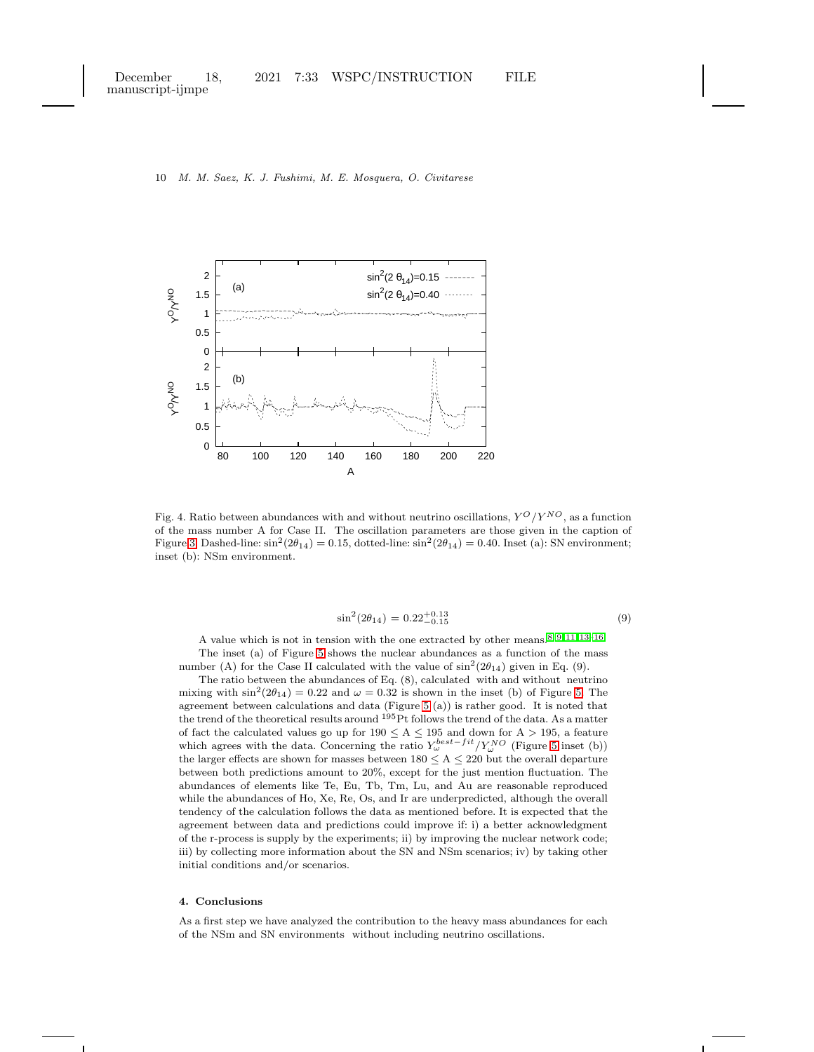

<span id="page-9-1"></span>Fig. 4. Ratio between abundances with and without neutrino oscillations,  $Y^O/Y^{NO}$ , as a function of the mass number A for Case II. The oscillation parameters are those given in the caption of Figure [3.](#page-8-0) Dashed-line:  $\sin^2(2\theta_{14}) = 0.15$ , dotted-line:  $\sin^2(2\theta_{14}) = 0.40$ . Inset (a): SN environment; inset (b): NSm environment.

$$
\sin^2(2\theta_{14}) = 0.22^{+0.13}_{-0.15} \tag{9}
$$

A value which is not in tension with the one extracted by other means.[8,](#page-11-2) [9,](#page-11-3) [11,](#page-11-5) [13–](#page-11-7)[16](#page-11-8) The inset (a) of Figure [5](#page-10-0) shows the nuclear abundances as a function of the mass number (A) for the Case II calculated with the value of  $\sin^2(2\theta_{14})$  given in Eq. (9).

The ratio between the abundances of Eq. (8), calculated with and without neutrino mixing with  $\sin^2(2\theta_{14}) = 0.22$  and  $\omega = 0.32$  is shown in the inset (b) of Figure [5.](#page-10-0) The agreement between calculations and data (Figure [5](#page-10-0) (a)) is rather good. It is noted that the trend of the theoretical results around <sup>195</sup>Pt follows the trend of the data. As a matter of fact the calculated values go up for  $190 \le A \le 195$  and down for  $A > 195$ , a feature which agrees with the data. Concerning the ratio  $Y_{\omega}^{best-fit}/Y_{\omega}^{NO}$  (Figure [5](#page-10-0) inset (b)) the larger effects are shown for masses between  $180 \le A \le 220$  but the overall departure between both predictions amount to 20%, except for the just mention fluctuation. The abundances of elements like Te, Eu, Tb, Tm, Lu, and Au are reasonable reproduced while the abundances of Ho, Xe, Re, Os, and Ir are underpredicted, although the overall tendency of the calculation follows the data as mentioned before. It is expected that the agreement between data and predictions could improve if: i) a better acknowledgment of the r-process is supply by the experiments; ii) by improving the nuclear network code; iii) by collecting more information about the SN and NSm scenarios; iv) by taking other initial conditions and/or scenarios.

### <span id="page-9-0"></span>4. Conclusions

As a first step we have analyzed the contribution to the heavy mass abundances for each of the NSm and SN environments without including neutrino oscillations.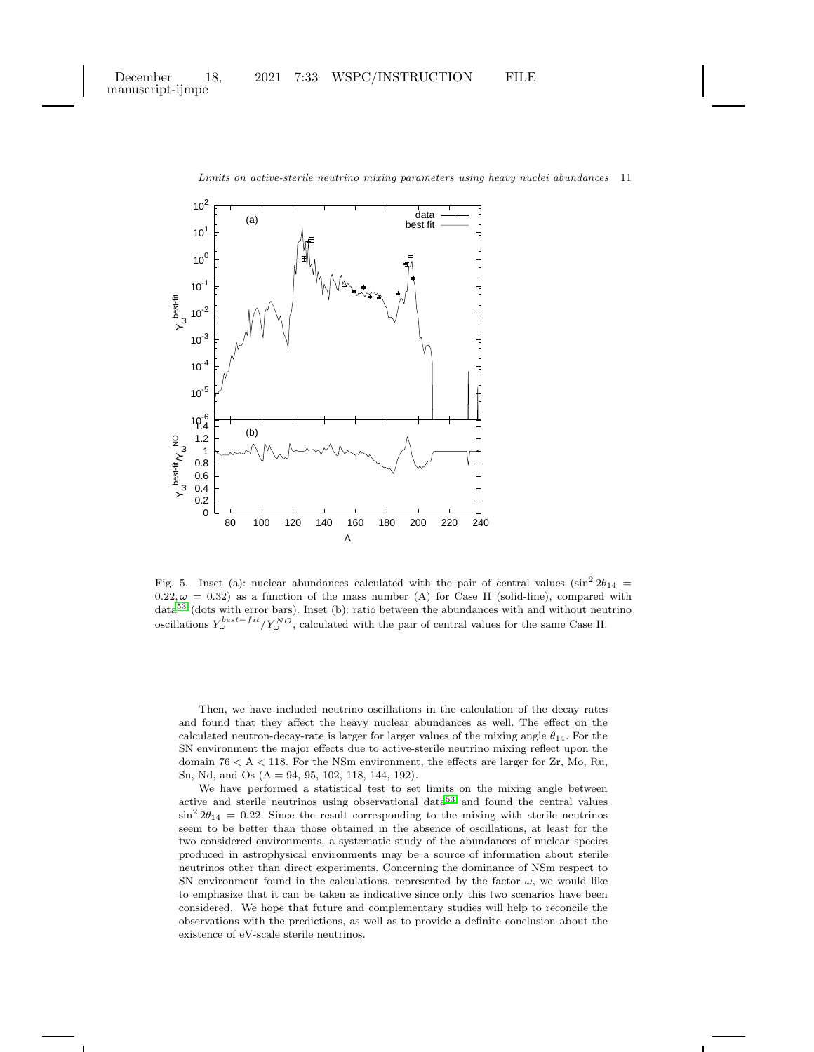

<span id="page-10-0"></span>Fig. 5. Inset (a): nuclear abundances calculated with the pair of central values  $(\sin^2 2\theta_{14}$  =  $(0.22, \omega = 0.32)$  as a function of the mass number (A) for Case II (solid-line), compared with  $data^{53}$  $data^{53}$  $data^{53}$  (dots with error bars). Inset (b): ratio between the abundances with and without neutrino oscillations  $Y_{\omega}^{best-fit}/Y_{\omega}^{NO}$ , calculated with the pair of central values for the same Case II.

Then, we have included neutrino oscillations in the calculation of the decay rates and found that they affect the heavy nuclear abundances as well. The effect on the calculated neutron-decay-rate is larger for larger values of the mixing angle  $\theta_{14}$ . For the SN environment the major effects due to active-sterile neutrino mixing reflect upon the domain 76 < A < 118. For the NSm environment, the effects are larger for Zr, Mo, Ru, Sn, Nd, and Os (A = 94, 95, 102, 118, 144, 192).

We have performed a statistical test to set limits on the mixing angle between active and sterile neutrinos using observational data[53](#page-12-15) and found the central values  $\sin^2 2\theta_{14} = 0.22$ . Since the result corresponding to the mixing with sterile neutrinos seem to be better than those obtained in the absence of oscillations, at least for the two considered environments, a systematic study of the abundances of nuclear species produced in astrophysical environments may be a source of information about sterile neutrinos other than direct experiments. Concerning the dominance of NSm respect to SN environment found in the calculations, represented by the factor  $\omega$ , we would like to emphasize that it can be taken as indicative since only this two scenarios have been considered. We hope that future and complementary studies will help to reconcile the observations with the predictions, as well as to provide a definite conclusion about the existence of eV-scale sterile neutrinos.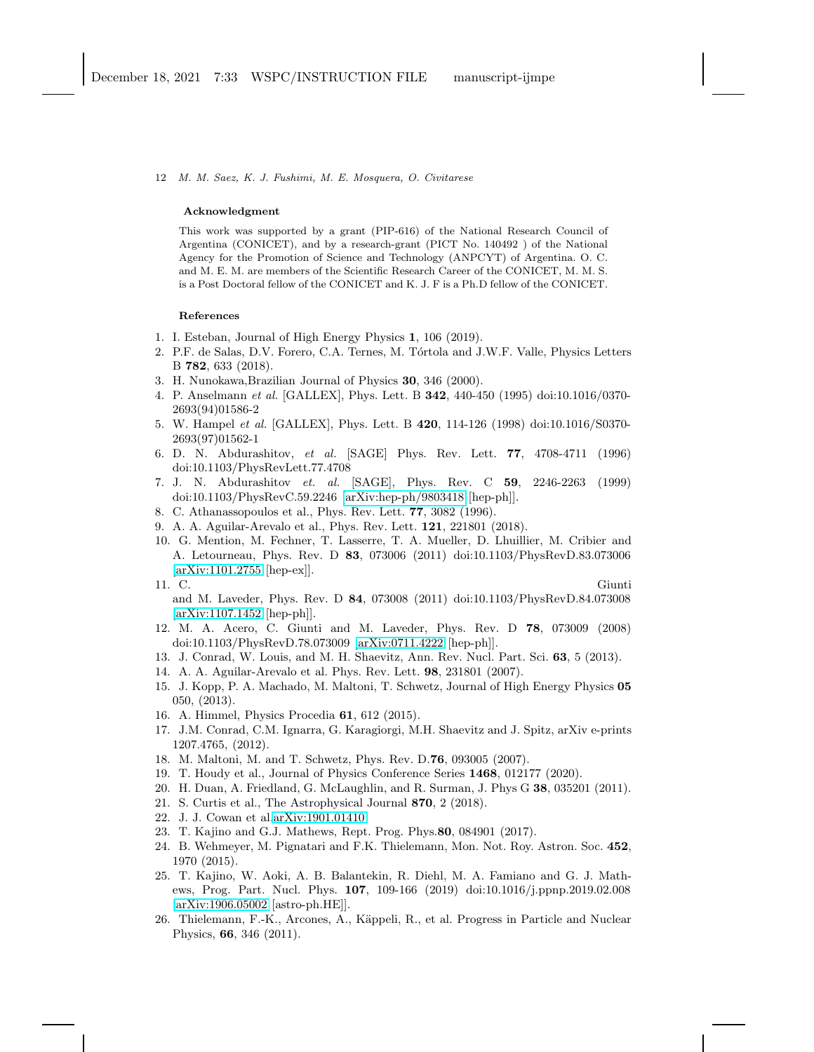### Acknowledgment

This work was supported by a grant (PIP-616) of the National Research Council of Argentina (CONICET), and by a research-grant (PICT No. 140492 ) of the National Agency for the Promotion of Science and Technology (ANPCYT) of Argentina. O. C. and M. E. M. are members of the Scientific Research Career of the CONICET, M. M. S. is a Post Doctoral fellow of the CONICET and K. J. F is a Ph.D fellow of the CONICET.

# References

- <span id="page-11-0"></span>1. I. Esteban, Journal of High Energy Physics 1, 106 (2019).
- 2. P.F. de Salas, D.V. Forero, C.A. Ternes, M. Tórtola and J.W.F. Valle, Physics Letters B 782, 633 (2018).
- 3. H. Nunokawa,Brazilian Journal of Physics 30, 346 (2000).
- 4. P. Anselmann et al. [GALLEX], Phys. Lett. B 342, 440-450 (1995) doi:10.1016/0370- 2693(94)01586-2
- 5. W. Hampel et al. [GALLEX], Phys. Lett. B 420, 114-126 (1998) doi:10.1016/S0370- 2693(97)01562-1
- 6. D. N. Abdurashitov, et al. [SAGE] Phys. Rev. Lett. 77, 4708-4711 (1996) doi:10.1103/PhysRevLett.77.4708
- <span id="page-11-1"></span>7. J. N. Abdurashitov et. al. [SAGE], Phys. Rev. C 59, 2246-2263 (1999) doi:10.1103/PhysRevC.59.2246 [\[arXiv:hep-ph/9803418](http://arxiv.org/abs/hep-ph/9803418) [hep-ph]].
- <span id="page-11-3"></span><span id="page-11-2"></span>8. C. Athanassopoulos et al., Phys. Rev. Lett. 77, 3082 (1996).
- <span id="page-11-4"></span>9. A. A. Aguilar-Arevalo et al., Phys. Rev. Lett. 121, 221801 (2018).
- 10. G. Mention, M. Fechner, T. Lasserre, T. A. Mueller, D. Lhuillier, M. Cribier and A. Letourneau, Phys. Rev. D 83, 073006 (2011) doi:10.1103/PhysRevD.83.073006 [\[arXiv:1101.2755](http://arxiv.org/abs/1101.2755) [hep-ex]].

- and M. Laveder, Phys. Rev. D 84, 073008 (2011) doi:10.1103/PhysRevD.84.073008 [\[arXiv:1107.1452](http://arxiv.org/abs/1107.1452) [hep-ph]].
- <span id="page-11-6"></span>12. M. A. Acero, C. Giunti and M. Laveder, Phys. Rev. D 78, 073009 (2008) doi:10.1103/PhysRevD.78.073009 [\[arXiv:0711.4222](http://arxiv.org/abs/0711.4222) [hep-ph]].
- <span id="page-11-7"></span>13. J. Conrad, W. Louis, and M. H. Shaevitz, Ann. Rev. Nucl. Part. Sci. 63, 5 (2013).
- 14. A. A. Aguilar-Arevalo et al. Phys. Rev. Lett. 98, 231801 (2007).
- 15. J. Kopp, P. A. Machado, M. Maltoni, T. Schwetz, Journal of High Energy Physics 05 050, (2013).
- <span id="page-11-8"></span>16. A. Himmel, Physics Procedia 61, 612 (2015).
- 17. J.M. Conrad, C.M. Ignarra, G. Karagiorgi, M.H. Shaevitz and J. Spitz, arXiv e-prints 1207.4765, (2012).
- <span id="page-11-10"></span><span id="page-11-9"></span>18. M. Maltoni, M. and T. Schwetz, Phys. Rev. D.76, 093005 (2007).
- <span id="page-11-11"></span>19. T. Houdy et al., Journal of Physics Conference Series 1468, 012177 (2020).
- <span id="page-11-12"></span>20. H. Duan, A. Friedland, G. McLaughlin, and R. Surman, J. Phys G 38, 035201 (2011).
- 21. S. Curtis et al., The Astrophysical Journal 870, 2 (2018).
- 22. J. J. Cowan et al[.arXiv:1901.01410.](http://arxiv.org/abs/1901.01410)
- <span id="page-11-13"></span>23. T. Kajino and G.J. Mathews, Rept. Prog. Phys.80, 084901 (2017).
- 24. B. Wehmeyer, M. Pignatari and F.K. Thielemann, Mon. Not. Roy. Astron. Soc. 452, 1970 (2015).
- <span id="page-11-14"></span>25. T. Kajino, W. Aoki, A. B. Balantekin, R. Diehl, M. A. Famiano and G. J. Mathews, Prog. Part. Nucl. Phys. 107, 109-166 (2019) doi:10.1016/j.ppnp.2019.02.008 [\[arXiv:1906.05002](http://arxiv.org/abs/1906.05002) [astro-ph.HE]].
- <span id="page-11-15"></span>26. Thielemann, F.-K., Arcones, A., Käppeli, R., et al. Progress in Particle and Nuclear Physics, 66, 346 (2011).

<span id="page-11-5"></span><sup>11.</sup> C. Giunti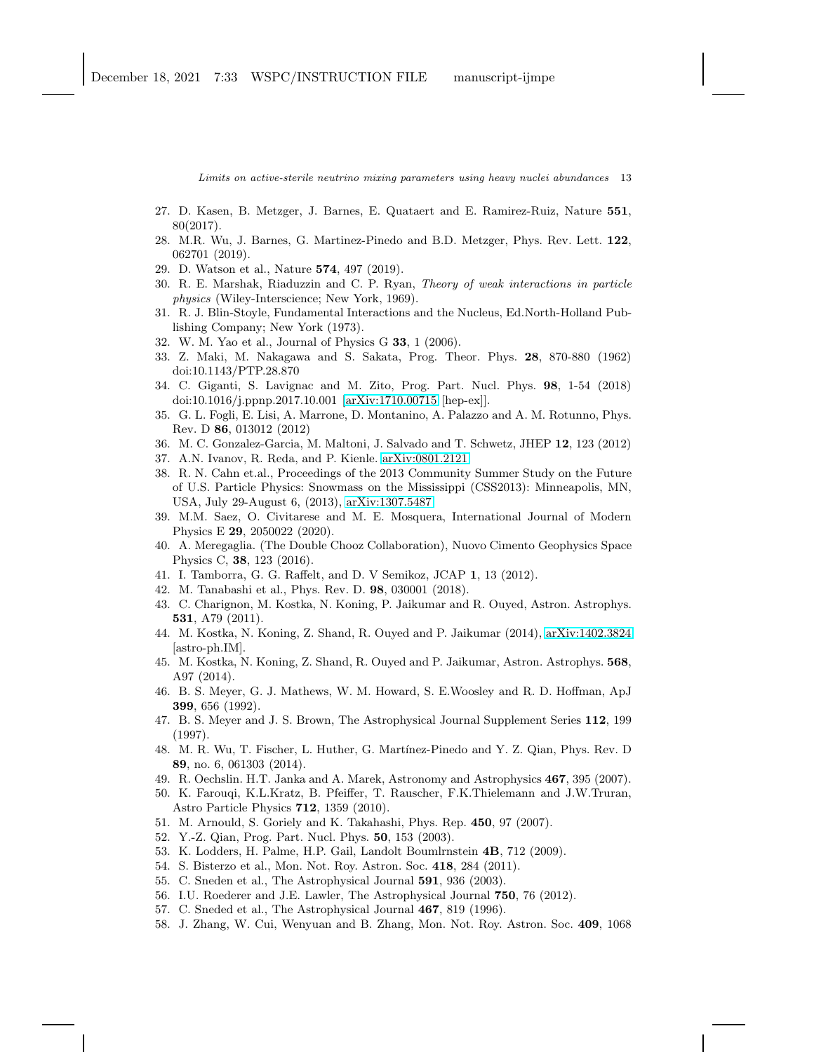- <span id="page-12-0"></span>27. D. Kasen, B. Metzger, J. Barnes, E. Quataert and E. Ramirez-Ruiz, Nature 551, 80(2017).
- 28. M.R. Wu, J. Barnes, G. Martinez-Pinedo and B.D. Metzger, Phys. Rev. Lett. 122, 062701 (2019).
- <span id="page-12-2"></span><span id="page-12-1"></span>29. D. Watson et al., Nature 574, 497 (2019).
- 30. R. E. Marshak, Riaduzzin and C. P. Ryan, Theory of weak interactions in particle physics (Wiley-Interscience; New York, 1969).
- <span id="page-12-3"></span>31. R. J. Blin-Stoyle, Fundamental Interactions and the Nucleus, Ed.North-Holland Publishing Company; New York (1973).
- <span id="page-12-5"></span><span id="page-12-4"></span>32. W. M. Yao et al., Journal of Physics G 33, 1 (2006).
- 33. Z. Maki, M. Nakagawa and S. Sakata, Prog. Theor. Phys. 28, 870-880 (1962) doi:10.1143/PTP.28.870
- <span id="page-12-6"></span>34. C. Giganti, S. Lavignac and M. Zito, Prog. Part. Nucl. Phys. 98, 1-54 (2018) doi:10.1016/j.ppnp.2017.10.001 [\[arXiv:1710.00715](http://arxiv.org/abs/1710.00715) [hep-ex]].
- <span id="page-12-7"></span>35. G. L. Fogli, E. Lisi, A. Marrone, D. Montanino, A. Palazzo and A. M. Rotunno, Phys. Rev. D 86, 013012 (2012)
- <span id="page-12-9"></span><span id="page-12-8"></span>36. M. C. Gonzalez-Garcia, M. Maltoni, J. Salvado and T. Schwetz, JHEP 12, 123 (2012)
- <span id="page-12-10"></span>37. A.N. Ivanov, R. Reda, and P. Kienle. [arXiv:0801.2121.](http://arxiv.org/abs/0801.2121)
- 38. R. N. Cahn et.al., Proceedings of the 2013 Community Summer Study on the Future of U.S. Particle Physics: Snowmass on the Mississippi (CSS2013): Minneapolis, MN, USA, July 29-August 6, (2013), [arXiv:1307.5487.](http://arxiv.org/abs/1307.5487)
- <span id="page-12-11"></span>39. M.M. Saez, O. Civitarese and M. E. Mosquera, International Journal of Modern Physics E 29, 2050022 (2020).
- <span id="page-12-12"></span>40. A. Meregaglia. (The Double Chooz Collaboration), Nuovo Cimento Geophysics Space Physics C, 38, 123 (2016).
- <span id="page-12-14"></span><span id="page-12-13"></span>41. I. Tamborra, G. G. Raffelt, and D. V Semikoz, JCAP 1, 13 (2012).
- <span id="page-12-17"></span>42. M. Tanabashi et al., Phys. Rev. D. 98, 030001 (2018).
- 43. C. Charignon, M. Kostka, N. Koning, P. Jaikumar and R. Ouyed, Astron. Astrophys. 531, A79 (2011).
- <span id="page-12-19"></span>44. M. Kostka, N. Koning, Z. Shand, R. Ouyed and P. Jaikumar (2014), [arXiv:1402.3824](http://arxiv.org/abs/1402.3824) [astro-ph.IM].
- <span id="page-12-18"></span>45. M. Kostka, N. Koning, Z. Shand, R. Ouyed and P. Jaikumar, Astron. Astrophys. 568, A97 (2014).
- <span id="page-12-20"></span>46. B. S. Meyer, G. J. Mathews, W. M. Howard, S. E.Woosley and R. D. Hoffman, ApJ 399, 656 (1992).
- 47. B. S. Meyer and J. S. Brown, The Astrophysical Journal Supplement Series 112, 199 (1997).
- <span id="page-12-21"></span>48. M. R. Wu, T. Fischer, L. Huther, G. Martínez-Pinedo and Y. Z. Qian, Phys. Rev. D 89, no. 6, 061303 (2014).
- <span id="page-12-23"></span><span id="page-12-22"></span>49. R. Oechslin. H.T. Janka and A. Marek, Astronomy and Astrophysics 467, 395 (2007).
- 50. K. Farouqi, K.L.Kratz, B. Pfeiffer, T. Rauscher, F.K.Thielemann and J.W.Truran, Astro Particle Physics 712, 1359 (2010).
- <span id="page-12-25"></span><span id="page-12-24"></span>51. M. Arnould, S. Goriely and K. Takahashi, Phys. Rep. 450, 97 (2007).
- <span id="page-12-15"></span>52. Y.-Z. Qian, Prog. Part. Nucl. Phys. 50, 153 (2003).
- <span id="page-12-26"></span>53. K. Lodders, H. Palme, H.P. Gail, Landolt Boumlrnstein 4B, 712 (2009).
- 54. S. Bisterzo et al., Mon. Not. Roy. Astron. Soc. 418, 284 (2011).
- <span id="page-12-16"></span>55. C. Sneden et al., The Astrophysical Journal 591, 936 (2003).
- <span id="page-12-27"></span>56. I.U. Roederer and J.E. Lawler, The Astrophysical Journal 750, 76 (2012).
- <span id="page-12-28"></span>57. C. Sneded et al., The Astrophysical Journal 467, 819 (1996).
- 58. J. Zhang, W. Cui, Wenyuan and B. Zhang, Mon. Not. Roy. Astron. Soc. 409, 1068